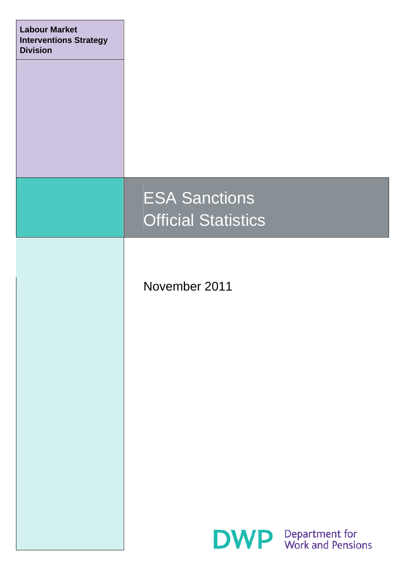| <b>Labour Market</b><br><b>Interventions Strategy</b><br><b>Division</b> |                                                    |                                                |
|--------------------------------------------------------------------------|----------------------------------------------------|------------------------------------------------|
|                                                                          | <b>ESA Sanctions</b><br><b>Official Statistics</b> |                                                |
|                                                                          | November 2011                                      |                                                |
|                                                                          |                                                    |                                                |
|                                                                          |                                                    |                                                |
|                                                                          |                                                    | <b>DWP</b> Department for<br>Work and Pensions |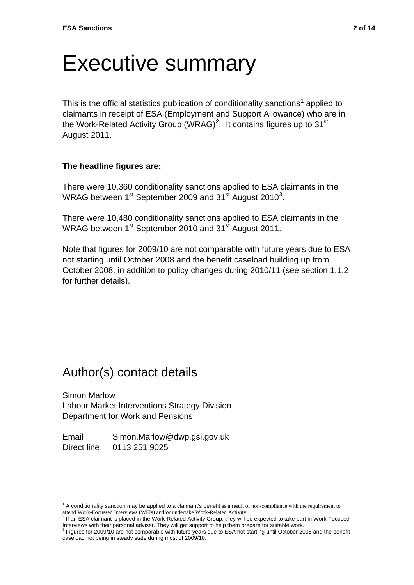## Executive summary

This is the official statistics publication of conditionality sanctions<sup>[1](#page-1-0)</sup> applied to claimants in receipt of ESA (Employment and Support Allowance) who are in the Work-Related Activity Group (WRAG)<sup>[2](#page-1-1)</sup>. It contains figures up to 31<sup>st</sup> August 2011.

#### **The headline figures are:**

There were 10,360 conditionality sanctions applied to ESA claimants in the WRAG between 1<sup>st</sup> September 2009 and [3](#page-1-2)1<sup>st</sup> August 2010<sup>3</sup>.

There were 10,480 conditionality sanctions applied to ESA claimants in the WRAG between 1<sup>st</sup> September 2010 and 31<sup>st</sup> August 2011.

Note that figures for 2009/10 are not comparable with future years due to ESA not starting until October 2008 and the benefit caseload building up from October 2008, in addition to policy changes during 2010/11 (see section 1.1.2 for further details).

### Author(s) contact details

Simon Marlow Labour Market Interventions Strategy Division Department for Work and Pensions

Email Simon.Marlow@dwp.gsi.gov.uk Direct line 0113 251 9025

<sup>&</sup>lt;sup>1</sup> A conditionality sanction may be applied to a claimant's benefit as a result of non-compliance with the requirement to <sup>1</sup>

<span id="page-1-1"></span><span id="page-1-0"></span>attend Work-Focussed Interviews (WFIs) and/or undertake Work-Related Activity.<br><sup>2</sup> If an ESA claimant is placed in the Work-Related Activity Group, they will be expected to take part in Work-Focused Interviews with their personal adviser. They will get support to help them prepare for suitable work.<br><sup>3</sup> Figures for 2009/10 are not comparable with future years due to ESA not starting until October 2008 and the benefit

<span id="page-1-2"></span>caseload not being in steady state during most of 2009/10.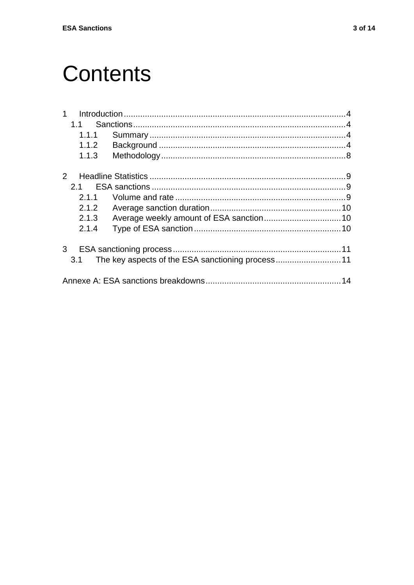## **Contents**

|                | 1.1   |  |
|----------------|-------|--|
|                | 1.1.1 |  |
|                | 1.1.2 |  |
|                | 1.1.3 |  |
| $\mathcal{P}$  |       |  |
|                | 21    |  |
|                | 2.1.1 |  |
|                | 2.1.2 |  |
|                | 2.1.3 |  |
|                | 2.1.4 |  |
| 3 <sup>1</sup> |       |  |
|                | 3.1   |  |
|                |       |  |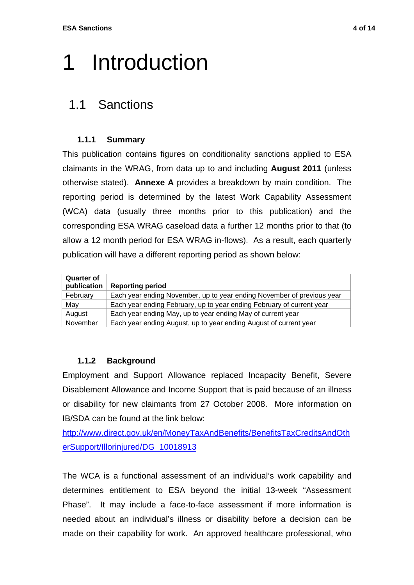# <span id="page-3-0"></span>1 Introduction

### <span id="page-3-1"></span>1.1 Sanctions

### **1.1.1 Summary**

<span id="page-3-2"></span>This publication contains figures on conditionality sanctions applied to ESA claimants in the WRAG, from data up to and including **August 2011** (unless otherwise stated). **Annexe A** provides a breakdown by main condition. The reporting period is determined by the latest Work Capability Assessment (WCA) data (usually three months prior to this publication) and the corresponding ESA WRAG caseload data a further 12 months prior to that (to allow a 12 month period for ESA WRAG in-flows). As a result, each quarterly publication will have a different reporting period as shown below:

| <b>Quarter of</b><br>publication | <b>Reporting period</b>                                                |
|----------------------------------|------------------------------------------------------------------------|
| February                         | Each year ending November, up to year ending November of previous year |
| May                              | Each year ending February, up to year ending February of current year  |
| August                           | Each year ending May, up to year ending May of current year            |
| November                         | Each year ending August, up to year ending August of current year      |

#### **1.1.2 Background**

<span id="page-3-3"></span>Employment and Support Allowance replaced Incapacity Benefit, Severe Disablement Allowance and Income Support that is paid because of an illness or disability for new claimants from 27 October 2008. More information on IB/SDA can be found at the link below:

[http://www.direct.gov.uk/en/MoneyTaxAndBenefits/BenefitsTaxCreditsAndOth](http://www.direct.gov.uk/en/MoneyTaxAndBenefits/BenefitsTaxCreditsAndOtherSupport/Illorinjured/DG_10018913) [erSupport/Illorinjured/DG\\_10018913](http://www.direct.gov.uk/en/MoneyTaxAndBenefits/BenefitsTaxCreditsAndOtherSupport/Illorinjured/DG_10018913)

The WCA is a functional assessment of an individual's work capability and determines entitlement to ESA beyond the initial 13-week "Assessment Phase". It may include a face-to-face assessment if more information is needed about an individual's illness or disability before a decision can be made on their capability for work. An approved healthcare professional, who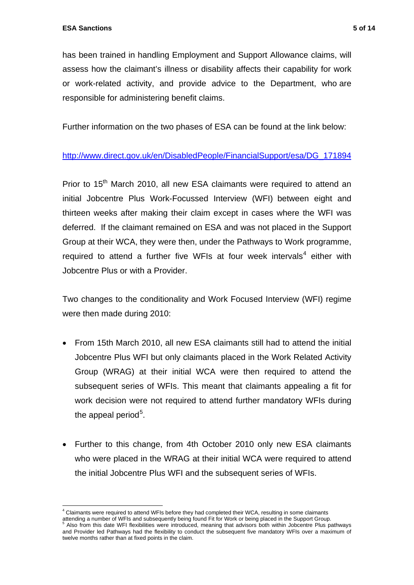has been trained in handling Employment and Support Allowance claims, will assess how the claimant's illness or disability affects their capability for work or work-related activity, and provide advice to the Department, who are responsible for administering benefit claims.

Further information on the two phases of ESA can be found at the link below:

### [http://www.direct.gov.uk/en/DisabledPeople/FinancialSupport/esa/DG\\_171894](http://www.direct.gov.uk/en/DisabledPeople/FinancialSupport/esa/DG_171894)

Prior to 15<sup>th</sup> March 2010, all new ESA claimants were required to attend an initial Jobcentre Plus Work-Focussed Interview (WFI) between eight and thirteen weeks after making their claim except in cases where the WFI was deferred. If the claimant remained on ESA and was not placed in the Support Group at their WCA, they were then, under the Pathways to Work programme, required to attend a further five WFIs at four week intervals<sup>[4](#page-4-0)</sup> either with Jobcentre Plus or with a Provider.

Two changes to the conditionality and Work Focused Interview (WFI) regime were then made during 2010:

- From 15th March 2010, all new ESA claimants still had to attend the initial Jobcentre Plus WFI but only claimants placed in the Work Related Activity Group (WRAG) at their initial WCA were then required to attend the subsequent series of WFIs. This meant that claimants appealing a fit for work decision were not required to attend further mandatory WFIs during the appeal period<sup>[5](#page-4-1)</sup>.
- Further to this change, from 4th October 2010 only new ESA claimants who were placed in the WRAG at their initial WCA were required to attend the initial Jobcentre Plus WFI and the subsequent series of WFIs.

 4 Claimants were required to attend WFIs before they had completed their WCA, resulting in some claimants

<span id="page-4-1"></span><span id="page-4-0"></span>attending a number of WFIs and subsequently being found Fit for Work or being placed in the Support Group.<br><sup>5</sup> Also from this date WFI flexibilities were introduced, meaning that advisors both within Jobcentre Plus pathway and Provider led Pathways had the flexibility to conduct the subsequent five mandatory WFIs over a maximum of twelve months rather than at fixed points in the claim.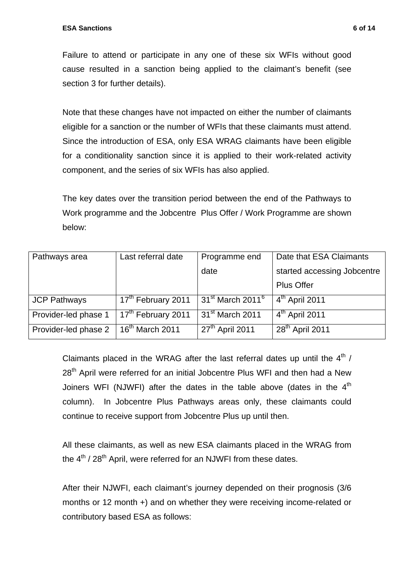Failure to attend or participate in any one of these six WFIs without good cause resulted in a sanction being applied to the claimant's benefit (see section 3 for further details).

Note that these changes have not impacted on either the number of claimants eligible for a sanction or the number of WFIs that these claimants must attend. Since the introduction of ESA, only ESA WRAG claimants have been eligible for a conditionality sanction since it is applied to their work-related activity component, and the series of six WFIs has also applied.

The key dates over the transition period between the end of the Pathways to Work programme and the Jobcentre Plus Offer / Work Programme are shown below:

| Pathways area        | Last referral date             | Programme end                  | Date that ESA Claimants     |  |
|----------------------|--------------------------------|--------------------------------|-----------------------------|--|
|                      |                                | date                           | started accessing Jobcentre |  |
|                      |                                |                                | <b>Plus Offer</b>           |  |
| <b>JCP Pathways</b>  | 17 <sup>th</sup> February 2011 | $31st$ March 2011 <sup>6</sup> | $4th$ April 2011            |  |
| Provider-led phase 1 | 17 <sup>th</sup> February 2011 | 31 <sup>st</sup> March 2011    | $4th$ April 2011            |  |
| Provider-led phase 2 | 16 <sup>th</sup> March 2011    | $27th$ April 2011              | $28^{\text{th}}$ April 2011 |  |

Claimants placed in the WRAG after the last referral dates up until the  $4<sup>th</sup>$  / 28<sup>th</sup> April were referred for an initial Jobcentre Plus WFI and then had a New Joiners WFI (NJWFI) after the dates in the table above (dates in the  $4<sup>th</sup>$ column). In Jobcentre Plus Pathways areas only, these claimants could continue to receive support from Jobcentre Plus up until then.

All these claimants, as well as new ESA claimants placed in the WRAG from the  $4<sup>th</sup>$  / 28<sup>th</sup> April, were referred for an NJWFI from these dates.

<span id="page-5-0"></span>After their NJWFI, each claimant's journey depended on their prognosis (3/6 months or 12 month +) and on whether they were receiving income-related or contributory based ESA as follows: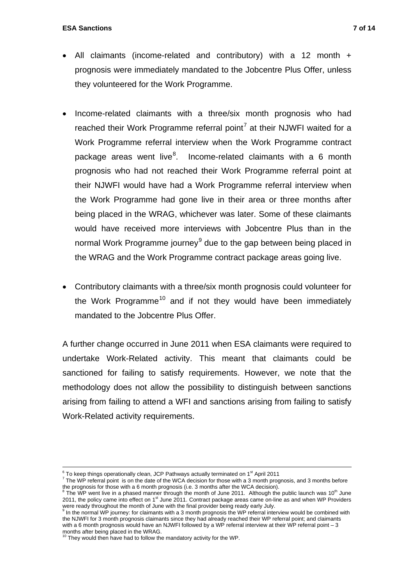- All claimants (income-related and contributory) with a 12 month + prognosis were immediately mandated to the Jobcentre Plus Offer, unless they volunteered for the Work Programme.
- Income-related claimants with a three/six month prognosis who had reached their Work Programme referral point<sup>[7](#page-6-0)</sup> at their NJWFI waited for a Work Programme referral interview when the Work Programme contract package areas went live ${}^{8}$  ${}^{8}$  ${}^{8}$ . Income-related claimants with a 6 month prognosis who had not reached their Work Programme referral point at their NJWFI would have had a Work Programme referral interview when the Work Programme had gone live in their area or three months after being placed in the WRAG, whichever was later. Some of these claimants would have received more interviews with Jobcentre Plus than in the normal Work Programme journey<sup>[9](#page-6-2)</sup> due to the gap between being placed in the WRAG and the Work Programme contract package areas going live.
- <span id="page-6-0"></span> Contributory claimants with a three/six month prognosis could volunteer for the Work Programme<sup>[10](#page-6-3)</sup> and if not they would have been immediately mandated to the Jobcentre Plus Offer.

A further change occurred in June 2011 when ESA claimants were required to undertake Work-Related activity. This meant that claimants could be sanctioned for failing to satisfy requirements. However, we note that the methodology does not allow the possibility to distinguish between sanctions arising from failing to attend a WFI and sanctions arising from failing to satisfy Work-Related activity requirements.

<u>.</u>

 $^6$  To keep things operationally clean, JCP Pathways actually terminated on 1<sup>st</sup> April 2011<br><sup>7</sup> The WP referrel point is an the date of the WCA decision for these with a 3 month prog

 $\frac{7}{1}$  The WP referral point is on the date of the WCA decision for those with a 3 month prognosis, and 3 months before the prognosis for those with a 6 month prognosis (i.e. 3 months after the WCA decision).<br><sup>8</sup> The WP went live in a phased manner through the month of June 2011. Although the public launch was 10<sup>th</sup> June

<span id="page-6-1"></span><sup>2011,</sup> the policy came into effect on 1<sup>st</sup> June 2011. Contract package areas came on-line as and when WP Providers were ready throughout the month of June with the final provider being ready early July.<br><sup>9</sup> In the nermal WD journey for claimants with a 2 month pregnacie the WD referrel into

<span id="page-6-2"></span>In the normal WP journey: for claimants with a 3 month prognosis the WP referral interview would be combined with the NJWFI for 3 month prognosis claimants since they had already reached their WP referral point; and claimants with a 6 month prognosis would have an NJWFI followed by a WP referral interview at their WP referral point – 3 months after being placed in the WRAG.<br><sup>10</sup> They would it

<span id="page-6-3"></span>They would then have had to follow the mandatory activity for the WP.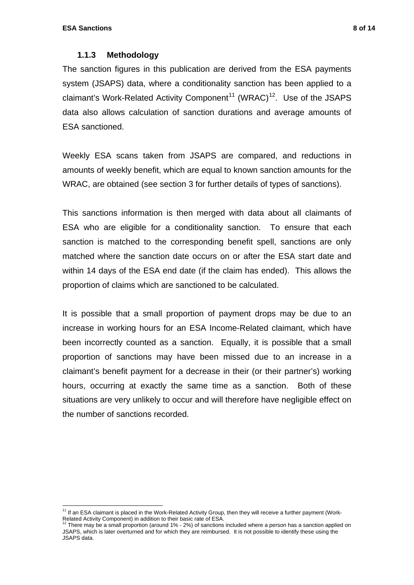#### **1.1.3 Methodology**

<span id="page-7-0"></span>The sanction figures in this publication are derived from the ESA payments system (JSAPS) data, where a conditionality sanction has been applied to a claimant's Work-Related Activity Component<sup>11</sup> (WRAC)<sup>[12](#page-7-2)</sup>. Use of the JSAPS data also allows calculation of sanction durations and average amounts of ESA sanctioned.

Weekly ESA scans taken from JSAPS are compared, and reductions in amounts of weekly benefit, which are equal to known sanction amounts for the WRAC, are obtained (see section 3 for further details of types of sanctions).

This sanctions information is then merged with data about all claimants of ESA who are eligible for a conditionality sanction. To ensure that each sanction is matched to the corresponding benefit spell, sanctions are only matched where the sanction date occurs on or after the ESA start date and within 14 days of the ESA end date (if the claim has ended). This allows the proportion of claims which are sanctioned to be calculated.

It is possible that a small proportion of payment drops may be due to an increase in working hours for an ESA Income-Related claimant, which have been incorrectly counted as a sanction. Equally, it is possible that a small proportion of sanctions may have been missed due to an increase in a claimant's benefit payment for a decrease in their (or their partner's) working hours, occurring at exactly the same time as a sanction. Both of these situations are very unlikely to occur and will therefore have negligible effect on the number of sanctions recorded.

<span id="page-7-1"></span>l  $11$  If an ESA claimant is placed in the Work-Related Activity Group, then they will receive a further payment (Work-Related Activity Component) in addition to their basic rate of ESA.<br><sup>12</sup> There may be a small proportion (around 1% - 2%) of sanctions included where a person has a sanction applied on

<span id="page-7-2"></span>JSAPS, which is later overturned and for which they are reimbursed. It is not possible to identify these using the JSAPS data.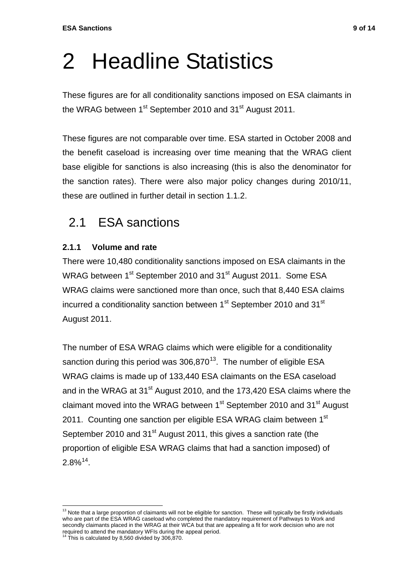# <span id="page-8-1"></span>2 Headline Statistics

These figures are for all conditionality sanctions imposed on ESA claimants in the WRAG between 1<sup>st</sup> September 2010 and 31<sup>st</sup> August 2011.

These figures are not comparable over time. ESA started in October 2008 and the benefit caseload is increasing over time meaning that the WRAG client base eligible for sanctions is also increasing (this is also the denominator for the sanction rates). There were also major policy changes during 2010/11, these are outlined in further detail in section 1.1.2.

## 2.1 ESA sanctions

### <span id="page-8-3"></span><span id="page-8-2"></span>**2.1.1 Volume and rate**

There were 10,480 conditionality sanctions imposed on ESA claimants in the WRAG between 1<sup>st</sup> September 2010 and 31<sup>st</sup> August 2011. Some ESA WRAG claims were sanctioned more than once, such that 8,440 ESA claims incurred a conditionality sanction between 1<sup>st</sup> September 2010 and 31<sup>st</sup> August 2011.

The number of ESA WRAG claims which were eligible for a conditionality sanction during this period was  $306,870^{13}$ . The number of eligible ESA WRAG claims is made up of 133,440 ESA claimants on the ESA caseload and in the WRAG at 31<sup>st</sup> August 2010, and the 173,420 ESA claims where the claimant moved into the WRAG between 1<sup>st</sup> September 2010 and 31<sup>st</sup> August 2011. Counting one sanction per eligible ESA WRAG claim between 1<sup>st</sup> September 2010 and 31<sup>st</sup> August 2011, this gives a sanction rate (the proportion of eligible ESA WRAG claims that had a sanction imposed) of  $2.8\%$ <sup>14</sup>.

<span id="page-8-4"></span><span id="page-8-0"></span>l <sup>13</sup> Note that a large proportion of claimants will not be eligible for sanction. These will typically be firstly individuals who are part of the ESA WRAG caseload who completed the mandatory requirement of Pathways to Work and secondly claimants placed in the WRAG at their WCA but that are appealing a fit for work decision who are not required to attend the mandatory WFIs during the appeal period.<br><sup>14</sup> This is calculated by 8,560 divided by 306,870.

<span id="page-8-5"></span>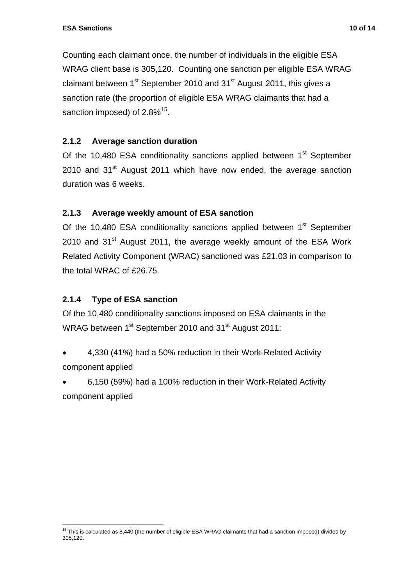Counting each claimant once, the number of individuals in the eligible ESA WRAG client base is 305,120. Counting one sanction per eligible ESA WRAG claimant between 1<sup>st</sup> September 2010 and 31<sup>st</sup> August 2011, this gives a sanction rate (the proportion of eligible ESA WRAG claimants that had a sanction imposed) of  $2.8\%$ <sup>15</sup>.

### <span id="page-9-0"></span>**2.1.2 Average sanction duration**

Of the 10,480 ESA conditionality sanctions applied between 1<sup>st</sup> September  $2010$  and  $31<sup>st</sup>$  August 2011 which have now ended, the average sanction duration was 6 weeks.

### <span id="page-9-1"></span>**2.1.3 Average weekly amount of ESA sanction**

Of the 10,480 ESA conditionality sanctions applied between 1<sup>st</sup> September  $2010$  and  $31<sup>st</sup>$  August 2011, the average weekly amount of the ESA Work Related Activity Component (WRAC) sanctioned was £21.03 in comparison to the total WRAC of £26.75.

### **2.1.4 Type of ESA sanction**

<span id="page-9-2"></span>Of the 10,480 conditionality sanctions imposed on ESA claimants in the WRAG between 1<sup>st</sup> September 2010 and 31<sup>st</sup> August 2011:

- 4,330 (41%) had a 50% reduction in their Work-Related Activity component applied
- 6,150 (59%) had a 100% reduction in their Work-Related Activity component applied

<span id="page-9-3"></span>l <sup>15</sup> This is calculated as 8,440 (the number of eligible ESA WRAG claimants that had a sanction imposed) divided by 305,120.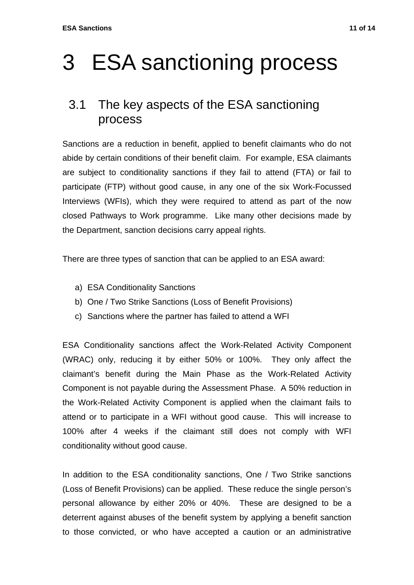# <span id="page-10-0"></span>3 ESA sanctioning process

### <span id="page-10-1"></span>3.1 The key aspects of the ESA sanctioning process

Sanctions are a reduction in benefit, applied to benefit claimants who do not abide by certain conditions of their benefit claim. For example, ESA claimants are subject to conditionality sanctions if they fail to attend (FTA) or fail to participate (FTP) without good cause, in any one of the six Work-Focussed Interviews (WFIs), which they were required to attend as part of the now closed Pathways to Work programme. Like many other decisions made by the Department, sanction decisions carry appeal rights.

There are three types of sanction that can be applied to an ESA award:

- a) ESA Conditionality Sanctions
- b) One / Two Strike Sanctions (Loss of Benefit Provisions)
- c) Sanctions where the partner has failed to attend a WFI

ESA Conditionality sanctions affect the Work-Related Activity Component (WRAC) only, reducing it by either 50% or 100%. They only affect the claimant's benefit during the Main Phase as the Work-Related Activity Component is not payable during the Assessment Phase. A 50% reduction in the Work-Related Activity Component is applied when the claimant fails to attend or to participate in a WFI without good cause. This will increase to 100% after 4 weeks if the claimant still does not comply with WFI conditionality without good cause.

In addition to the ESA conditionality sanctions, One / Two Strike sanctions (Loss of Benefit Provisions) can be applied. These reduce the single person's personal allowance by either 20% or 40%. These are designed to be a deterrent against abuses of the benefit system by applying a benefit sanction to those convicted, or who have accepted a caution or an administrative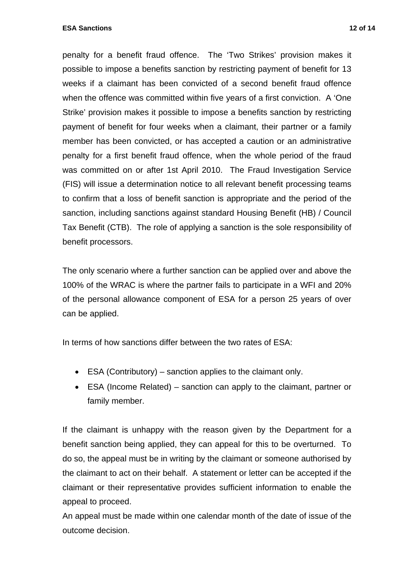**ESA Sanctions** 12 of 14

penalty for a benefit fraud offence. The 'Two Strikes' provision makes it possible to impose a benefits sanction by restricting payment of benefit for 13 weeks if a claimant has been convicted of a second benefit fraud offence when the offence was committed within five years of a first conviction. A 'One Strike' provision makes it possible to impose a benefits sanction by restricting payment of benefit for four weeks when a claimant, their partner or a family member has been convicted, or has accepted a caution or an administrative penalty for a first benefit fraud offence, when the whole period of the fraud was committed on or after 1st April 2010. The Fraud Investigation Service (FIS) will issue a determination notice to all relevant benefit processing teams to confirm that a loss of benefit sanction is appropriate and the period of the sanction, including sanctions against standard Housing Benefit (HB) / Council Tax Benefit (CTB). The role of applying a sanction is the sole responsibility of benefit processors.

The only scenario where a further sanction can be applied over and above the 100% of the WRAC is where the partner fails to participate in a WFI and 20% of the personal allowance component of ESA for a person 25 years of over can be applied.

In terms of how sanctions differ between the two rates of ESA:

- ESA (Contributory) sanction applies to the claimant only.
- ESA (Income Related) sanction can apply to the claimant, partner or family member.

If the claimant is unhappy with the reason given by the Department for a benefit sanction being applied, they can appeal for this to be overturned. To do so, the appeal must be in writing by the claimant or someone authorised by the claimant to act on their behalf. A statement or letter can be accepted if the claimant or their representative provides sufficient information to enable the appeal to proceed.

An appeal must be made within one calendar month of the date of issue of the outcome decision.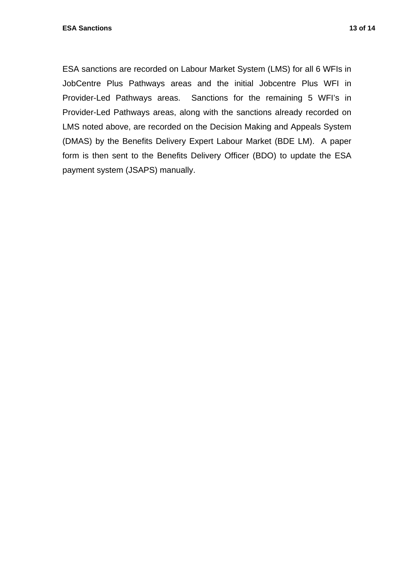ESA sanctions are recorded on Labour Market System (LMS) for all 6 WFIs in JobCentre Plus Pathways areas and the initial Jobcentre Plus WFI in Provider-Led Pathways areas. Sanctions for the remaining 5 WFI's in Provider-Led Pathways areas, along with the sanctions already recorded on LMS noted above, are recorded on the Decision Making and Appeals System (DMAS) by the Benefits Delivery Expert Labour Market (BDE LM). A paper form is then sent to the Benefits Delivery Officer (BDO) to update the ESA payment system (JSAPS) manually.